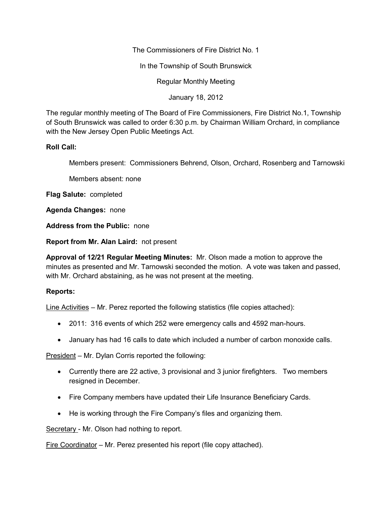The Commissioners of Fire District No. 1

In the Township of South Brunswick

Regular Monthly Meeting

January 18, 2012

The regular monthly meeting of The Board of Fire Commissioners, Fire District No.1, Township of South Brunswick was called to order 6:30 p.m. by Chairman William Orchard, in compliance with the New Jersey Open Public Meetings Act.

## **Roll Call:**

Members present: Commissioners Behrend, Olson, Orchard, Rosenberg and Tarnowski

Members absent: none

**Flag Salute:** completed

**Agenda Changes:** none

**Address from the Public:** none

**Report from Mr. Alan Laird:** not present

**Approval of 12/21 Regular Meeting Minutes:** Mr. Olson made a motion to approve the minutes as presented and Mr. Tarnowski seconded the motion. A vote was taken and passed, with Mr. Orchard abstaining, as he was not present at the meeting.

## **Reports:**

Line Activities – Mr. Perez reported the following statistics (file copies attached):

- 2011: 316 events of which 252 were emergency calls and 4592 man-hours.
- January has had 16 calls to date which included a number of carbon monoxide calls.

President – Mr. Dylan Corris reported the following:

- Currently there are 22 active, 3 provisional and 3 junior firefighters. Two members resigned in December.
- Fire Company members have updated their Life Insurance Beneficiary Cards.
- He is working through the Fire Company's files and organizing them.

Secretary - Mr. Olson had nothing to report.

Fire Coordinator – Mr. Perez presented his report (file copy attached).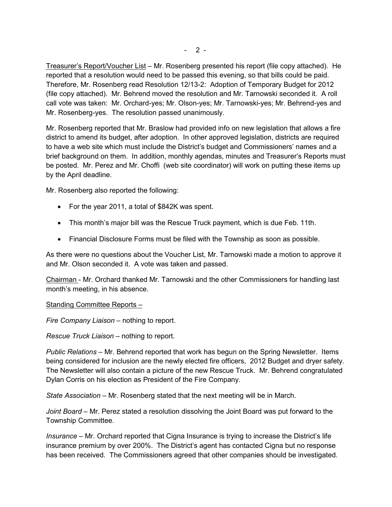Treasurer's Report/Voucher List – Mr. Rosenberg presented his report (file copy attached). He reported that a resolution would need to be passed this evening, so that bills could be paid. Therefore, Mr. Rosenberg read Resolution 12/13-2: Adoption of Temporary Budget for 2012 (file copy attached). Mr. Behrend moved the resolution and Mr. Tarnowski seconded it. A roll call vote was taken: Mr. Orchard-yes; Mr. Olson-yes; Mr. Tarnowski-yes; Mr. Behrend-yes and Mr. Rosenberg-yes. The resolution passed unanimously.

Mr. Rosenberg reported that Mr. Braslow had provided info on new legislation that allows a fire district to amend its budget, after adoption. In other approved legislation, districts are required to have a web site which must include the District's budget and Commissioners' names and a brief background on them. In addition, monthly agendas, minutes and Treasurer's Reports must be posted. Mr. Perez and Mr. Choffi (web site coordinator) will work on putting these items up by the April deadline.

Mr. Rosenberg also reported the following:

- For the year 2011, a total of \$842K was spent.
- This month's major bill was the Rescue Truck payment, which is due Feb. 11th.
- Financial Disclosure Forms must be filed with the Township as soon as possible.

As there were no questions about the Voucher List, Mr. Tarnowski made a motion to approve it and Mr. Olson seconded it. A vote was taken and passed.

Chairman - Mr. Orchard thanked Mr. Tarnowski and the other Commissioners for handling last month's meeting, in his absence.

Standing Committee Reports –

*Fire Company Liaison –* nothing to report.

*Rescue Truck Liaison –* nothing to report.

*Public Relations –* Mr. Behrend reported that work has begun on the Spring Newsletter. Items being considered for inclusion are the newly elected fire officers, 2012 Budget and dryer safety. The Newsletter will also contain a picture of the new Rescue Truck. Mr. Behrend congratulated Dylan Corris on his election as President of the Fire Company.

*State Association* – Mr. Rosenberg stated that the next meeting will be in March.

*Joint Board –* Mr. Perez stated a resolution dissolving the Joint Board was put forward to the Township Committee.

*Insurance –* Mr. Orchard reported that Cigna Insurance is trying to increase the District's life insurance premium by over 200%. The District's agent has contacted Cigna but no response has been received. The Commissioners agreed that other companies should be investigated.